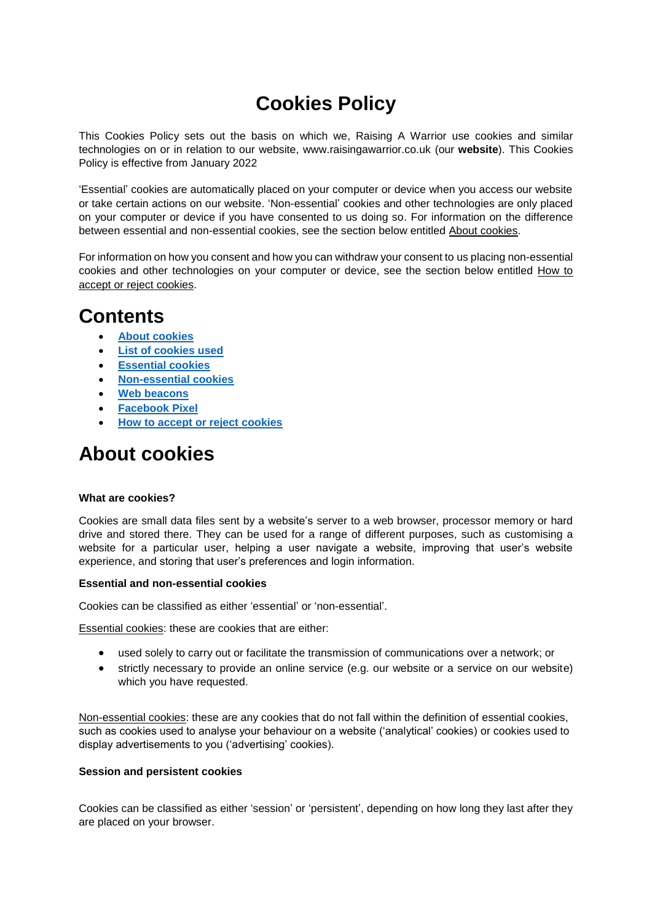# **Cookies Policy**

This Cookies Policy sets out the basis on which we, Raising A Warrior use cookies and similar technologies on or in relation to our website, www.raisingawarrior.co.uk (our **website**). This Cookies Policy is effective from January 2022

'Essential' cookies are automatically placed on your computer or device when you access our website or take certain actions on our website. 'Non-essential' cookies and other technologies are only placed on your computer or device if you have consented to us doing so. For information on the difference between essential and non-essential cookies, see the section below entitled About cookies.

For information on how you consent and how you can withdraw your consent to us placing non-essential cookies and other technologies on your computer or device, see the section below entitled How to accept or reject cookies.

# **Contents**

- **[About cookies](#page-0-0)**
- **List [of cookies used](#page-1-0)**
- **[Essential cookies](#page-1-1)**
- **[Non-essential cookies](#page-2-0)**
- **[Web beacons](#page-3-0)**
- **[Facebook Pixel](#page-3-0)**
- **[How to accept or reject cookies](#page-4-0)**

# <span id="page-0-0"></span>**About cookies**

## **What are cookies?**

Cookies are small data files sent by a website's server to a web browser, processor memory or hard drive and stored there. They can be used for a range of different purposes, such as customising a website for a particular user, helping a user navigate a website, improving that user's website experience, and storing that user's preferences and login information.

## **Essential and non-essential cookies**

Cookies can be classified as either 'essential' or 'non-essential'.

Essential cookies: these are cookies that are either:

- used solely to carry out or facilitate the transmission of communications over a network; or
- strictly necessary to provide an online service (e.g. our website or a service on our website) which you have requested.

Non-essential cookies: these are any cookies that do not fall within the definition of essential cookies, such as cookies used to analyse your behaviour on a website ('analytical' cookies) or cookies used to display advertisements to you ('advertising' cookies).

## **Session and persistent cookies**

Cookies can be classified as either 'session' or 'persistent', depending on how long they last after they are placed on your browser.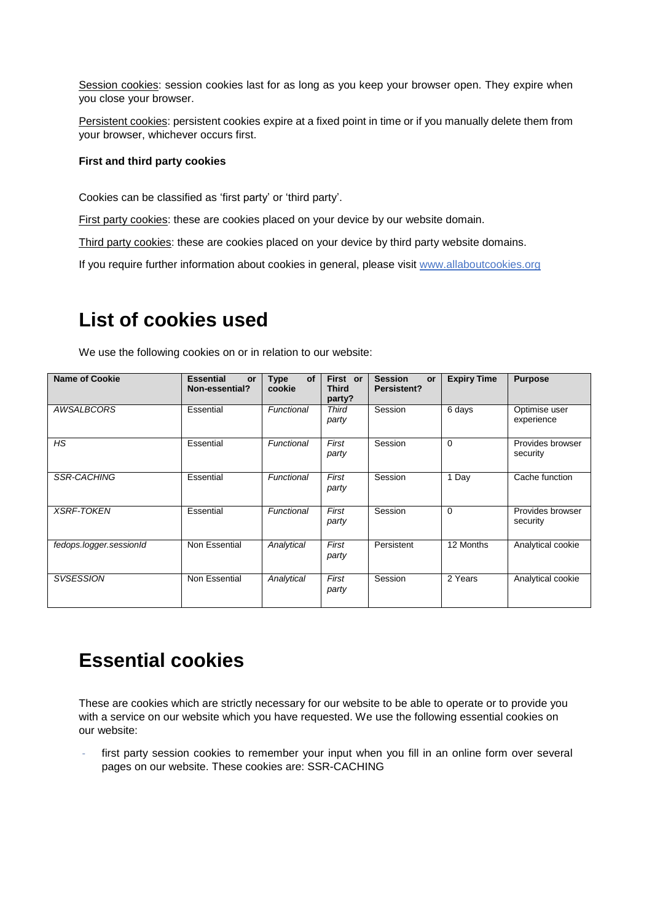Session cookies: session cookies last for as long as you keep your browser open. They expire when you close your browser.

Persistent cookies: persistent cookies expire at a fixed point in time or if you manually delete them from your browser, whichever occurs first.

## **First and third party cookies**

Cookies can be classified as 'first party' or 'third party'.

First party cookies: these are cookies placed on your device by our website domain.

Third party cookies: these are cookies placed on your device by third party website domains.

If you require further information about cookies in general, please visit [www.allaboutcookies.org](http://www.allaboutcookies.org/)

# <span id="page-1-0"></span>**List of cookies used**

We use the following cookies on or in relation to our website:

| <b>Name of Cookie</b>   | <b>Essential</b><br>or<br>Non-essential? | of<br>Type<br>cookie | First or<br><b>Third</b><br>party? | <b>Session</b><br><b>or</b><br>Persistent? | <b>Expiry Time</b> | <b>Purpose</b>               |
|-------------------------|------------------------------------------|----------------------|------------------------------------|--------------------------------------------|--------------------|------------------------------|
| AWSALBCORS              | Essential                                | Functional           | <b>Third</b><br>party              | Session                                    | 6 days             | Optimise user<br>experience  |
| <b>HS</b>               | Essential                                | Functional           | First<br>party                     | Session                                    | $\Omega$           | Provides browser<br>security |
| <b>SSR-CACHING</b>      | Essential                                | Functional           | First<br>party                     | Session                                    | 1 Day              | Cache function               |
| <b>XSRF-TOKEN</b>       | Essential                                | Functional           | First<br>party                     | Session                                    | $\Omega$           | Provides browser<br>security |
| fedops.logger.sessionId | Non Essential                            | Analytical           | First<br>party                     | Persistent                                 | 12 Months          | Analytical cookie            |
| <b>SVSESSION</b>        | Non Essential                            | Analytical           | First<br>party                     | Session                                    | 2 Years            | Analytical cookie            |

# <span id="page-1-1"></span>**Essential cookies**

These are cookies which are strictly necessary for our website to be able to operate or to provide you with a service on our website which you have requested. We use the following essential cookies on our website:

first party session cookies to remember your input when you fill in an online form over several pages on our website. These cookies are: SSR-CACHING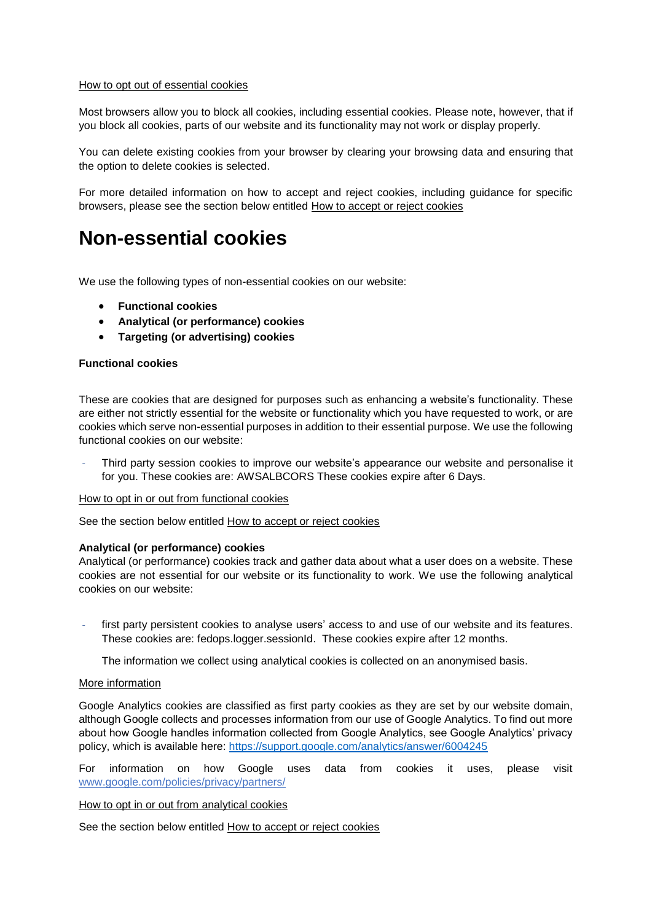#### How to opt out of essential cookies

Most browsers allow you to block all cookies, including essential cookies. Please note, however, that if you block all cookies, parts of our website and its functionality may not work or display properly.

You can delete existing cookies from your browser by clearing your browsing data and ensuring that the option to delete cookies is selected.

For more detailed information on how to accept and reject cookies, including guidance for specific browsers, please see the section below entitled How to accept or reject cookies

# <span id="page-2-0"></span>**Non-essential cookies**

We use the following types of non-essential cookies on our website:

- **Functional cookies**
- **Analytical (or performance) cookies**
- **Targeting (or advertising) cookies**

### **Functional cookies**

These are cookies that are designed for purposes such as enhancing a website's functionality. These are either not strictly essential for the website or functionality which you have requested to work, or are cookies which serve non-essential purposes in addition to their essential purpose. We use the following functional cookies on our website:

Third party session cookies to improve our website's appearance our website and personalise it for you. These cookies are: AWSALBCORS These cookies expire after 6 Days.

#### How to opt in or out from functional cookies

See the section below entitled How to accept or reject cookies

#### **Analytical (or performance) cookies**

Analytical (or performance) cookies track and gather data about what a user does on a website. These cookies are not essential for our website or its functionality to work. We use the following analytical cookies on our website:

first party persistent cookies to analyse users' access to and use of our website and its features. These cookies are: fedops.logger.sessionId. These cookies expire after 12 months.

The information we collect using analytical cookies is collected on an anonymised basis.

#### More information

Google Analytics cookies are classified as first party cookies as they are set by our website domain, although Google collects and processes information from our use of Google Analytics. To find out more about how Google handles information collected from Google Analytics, see Google Analytics' privacy policy, which is available here:<https://support.google.com/analytics/answer/6004245>

For information on how Google uses data from cookies it uses, please visit [www.google.com/policies/privacy/partners/](https://www.google.com/policies/privacy/partners/)

#### How to opt in or out from analytical cookies

See the section below entitled How to accept or reject cookies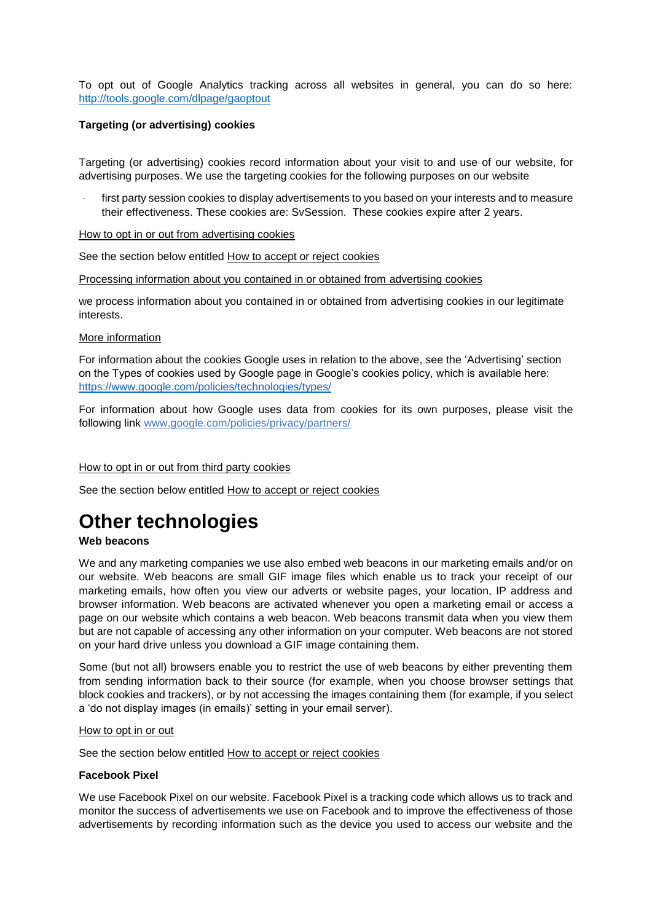To opt out of Google Analytics tracking across all websites in general, you can do so here: <http://tools.google.com/dlpage/gaoptout>

### **Targeting (or advertising) cookies**

Targeting (or advertising) cookies record information about your visit to and use of our website, for advertising purposes. We use the targeting cookies for the following purposes on our website

first party session cookies to display advertisements to you based on your interests and to measure their effectiveness. These cookies are: SvSession. These cookies expire after 2 years.

How to opt in or out from advertising cookies

See the section below entitled How to accept or reject cookies

Processing information about you contained in or obtained from advertising cookies

we process information about you contained in or obtained from advertising cookies in our legitimate interests.

#### More information

For information about the cookies Google uses in relation to the above, see the 'Advertising' section on the Types of cookies used by Google page in Google's cookies policy, which is available here: <https://www.google.com/policies/technologies/types/>

For information about how Google uses data from cookies for its own purposes, please visit the following link [www.google.com/policies/privacy/partners/](https://www.google.com/policies/privacy/partners/)

#### How to opt in or out from third party cookies

See the section below entitled How to accept or reject cookies

# <span id="page-3-0"></span>**Other technologies**

#### **Web beacons**

We and any marketing companies we use also embed web beacons in our marketing emails and/or on our website. Web beacons are small GIF image files which enable us to track your receipt of our marketing emails, how often you view our adverts or website pages, your location, IP address and browser information. Web beacons are activated whenever you open a marketing email or access a page on our website which contains a web beacon. Web beacons transmit data when you view them but are not capable of accessing any other information on your computer. Web beacons are not stored on your hard drive unless you download a GIF image containing them.

Some (but not all) browsers enable you to restrict the use of web beacons by either preventing them from sending information back to their source (for example, when you choose browser settings that block cookies and trackers), or by not accessing the images containing them (for example, if you select a 'do not display images (in emails)' setting in your email server).

#### How to opt in or out

See the section below entitled How to accept or reject cookies

#### **Facebook Pixel**

We use Facebook Pixel on our website. Facebook Pixel is a tracking code which allows us to track and monitor the success of advertisements we use on Facebook and to improve the effectiveness of those advertisements by recording information such as the device you used to access our website and the